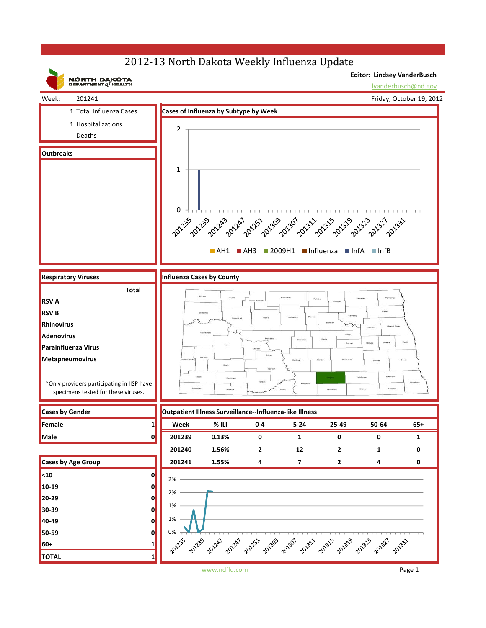## 2012-13 North Dakota Weekly Influenza Update



www.ndflu.com Page 1